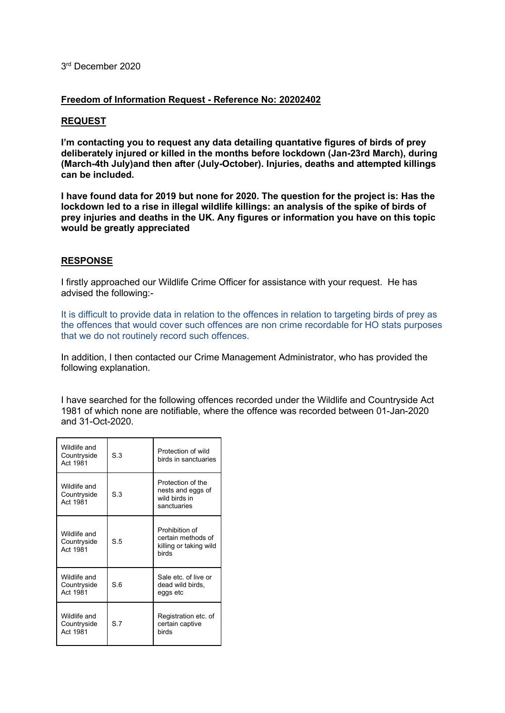## 3rd December 2020

## **Freedom of Information Request - Reference No: 20202402**

## **REQUEST**

**I'm contacting you to request any data detailing quantative figures of birds of prey deliberately injured or killed in the months before lockdown (Jan-23rd March), during (March-4th July)and then after (July-October). Injuries, deaths and attempted killings can be included.**

**I have found data for 2019 but none for 2020. The question for the project is: Has the lockdown led to a rise in illegal wildlife killings: an analysis of the spike of birds of prey injuries and deaths in the UK. Any figures or information you have on this topic would be greatly appreciated**

## **RESPONSE**

I firstly approached our Wildlife Crime Officer for assistance with your request. He has advised the following:-

It is difficult to provide data in relation to the offences in relation to targeting birds of prey as the offences that would cover such offences are non crime recordable for HO stats purposes that we do not routinely record such offences.

In addition, I then contacted our Crime Management Administrator, who has provided the following explanation.

I have searched for the following offences recorded under the Wildlife and Countryside Act 1981 of which none are notifiable, where the offence was recorded between 01-Jan-2020 and 31-Oct-2020.

| Wildlife and<br>Countryside<br>Act 1981 | S.3            | Protection of wild<br>birds in sanctuaries                              |
|-----------------------------------------|----------------|-------------------------------------------------------------------------|
| Wildlife and<br>Countryside<br>Act 1981 | S.3            | Protection of the<br>nests and eggs of<br>wild birds in<br>sanctuaries  |
| Wildlife and<br>Countryside<br>Act 1981 | S <sub>5</sub> | Prohibition of<br>certain methods of<br>killing or taking wild<br>birds |
| Wildlife and<br>Countryside<br>Act 1981 | S <sub>6</sub> | Sale etc of live or<br>dead wild birds,<br>eggs etc                     |
| Wildlife and<br>Countryside<br>Act 1981 | S <sub>7</sub> | Registration etc. of<br>certain captive<br>birds                        |